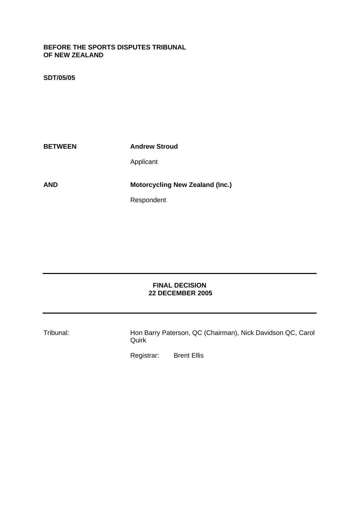#### **BEFORE THE SPORTS DISPUTES TRIBUNAL OF NEW ZEALAND**

# **SDT/05/05**

**BETWEEN** Andrew Stroud Applicant **AND Motorcycling New Zealand (Inc.)** Respondent

## **FINAL DECISION 22 DECEMBER 2005**

Tribunal: Hon Barry Paterson, QC (Chairman), Nick Davidson QC, Carol **Quirk** 

Registrar: Brent Ellis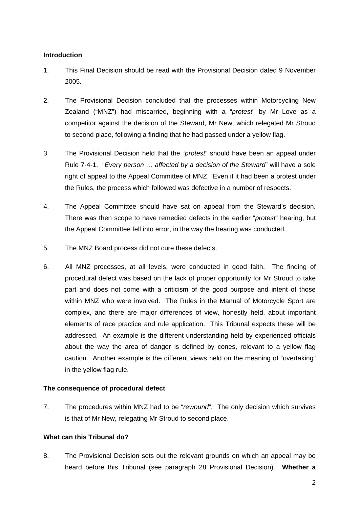# **Introduction**

- 1. This Final Decision should be read with the Provisional Decision dated 9 November 2005.
- 2. The Provisional Decision concluded that the processes within Motorcycling New Zealand ("MNZ") had miscarried, beginning with a "*protest*" by Mr Love as a competitor against the decision of the Steward, Mr New, which relegated Mr Stroud to second place, following a finding that he had passed under a yellow flag.
- 3. The Provisional Decision held that the "*protest*" should have been an appeal under Rule 7-4-1. "*Every person … affected by a decision of the Steward*" will have a sole right of appeal to the Appeal Committee of MNZ. Even if it had been a protest under the Rules, the process which followed was defective in a number of respects.
- 4. The Appeal Committee should have sat on appeal from the Steward's decision. There was then scope to have remedied defects in the earlier "*protest*" hearing, but the Appeal Committee fell into error, in the way the hearing was conducted.
- 5. The MNZ Board process did not cure these defects.
- 6. All MNZ processes, at all levels, were conducted in good faith. The finding of procedural defect was based on the lack of proper opportunity for Mr Stroud to take part and does not come with a criticism of the good purpose and intent of those within MNZ who were involved. The Rules in the Manual of Motorcycle Sport are complex, and there are major differences of view, honestly held, about important elements of race practice and rule application. This Tribunal expects these will be addressed. An example is the different understanding held by experienced officials about the way the area of danger is defined by cones, relevant to a yellow flag caution. Another example is the different views held on the meaning of "overtaking" in the yellow flag rule.

## **The consequence of procedural defect**

7. The procedures within MNZ had to be "*rewound*". The only decision which survives is that of Mr New, relegating Mr Stroud to second place.

## **What can this Tribunal do?**

8. The Provisional Decision sets out the relevant grounds on which an appeal may be heard before this Tribunal (see paragraph 28 Provisional Decision). **Whether a**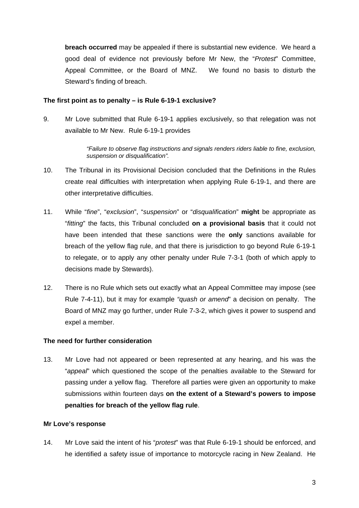**breach occurred** may be appealed if there is substantial new evidence. We heard a good deal of evidence not previously before Mr New, the "*Protest*" Committee, Appeal Committee, or the Board of MNZ. We found no basis to disturb the Steward's finding of breach.

#### **The first point as to penalty – is Rule 6-19-1 exclusive?**

9. Mr Love submitted that Rule 6-19-1 applies exclusively, so that relegation was not available to Mr New. Rule 6-19-1 provides

> *"Failure to observe flag instructions and signals renders riders liable to fine, exclusion, suspension or disqualification".*

- 10. The Tribunal in its Provisional Decision concluded that the Definitions in the Rules create real difficulties with interpretation when applying Rule 6-19-1, and there are other interpretative difficulties.
- 11. While "*fine*", "*exclusion*", "*suspension*" or "*disqualification*" **might** be appropriate as "*fitting*" the facts, this Tribunal concluded **on a provisional basis** that it could not have been intended that these sanctions were the **only** sanctions available for breach of the yellow flag rule, and that there is jurisdiction to go beyond Rule 6-19-1 to relegate, or to apply any other penalty under Rule 7-3-1 (both of which apply to decisions made by Stewards).
- 12. There is no Rule which sets out exactly what an Appeal Committee may impose (see Rule 7-4-11), but it may for example *"quash or amend*" a decision on penalty. The Board of MNZ may go further, under Rule 7-3-2, which gives it power to suspend and expel a member.

## **The need for further consideration**

13. Mr Love had not appeared or been represented at any hearing, and his was the "*appeal*" which questioned the scope of the penalties available to the Steward for passing under a yellow flag. Therefore all parties were given an opportunity to make submissions within fourteen days **on the extent of a Steward's powers to impose penalties for breach of the yellow flag rule**.

## **Mr Love's response**

14. Mr Love said the intent of his "*protest*" was that Rule 6-19-1 should be enforced, and he identified a safety issue of importance to motorcycle racing in New Zealand. He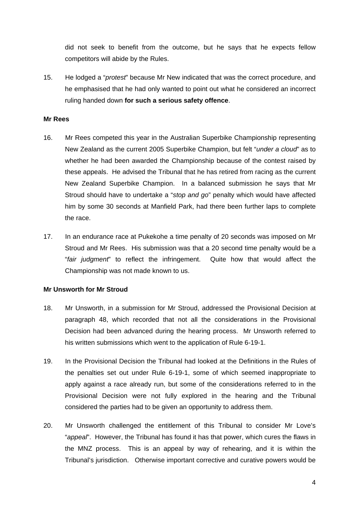did not seek to benefit from the outcome, but he says that he expects fellow competitors will abide by the Rules.

15. He lodged a "*protest*" because Mr New indicated that was the correct procedure, and he emphasised that he had only wanted to point out what he considered an incorrect ruling handed down **for such a serious safety offence**.

#### **Mr Rees**

- 16. Mr Rees competed this year in the Australian Superbike Championship representing New Zealand as the current 2005 Superbike Champion, but felt "*under a cloud*" as to whether he had been awarded the Championship because of the contest raised by these appeals. He advised the Tribunal that he has retired from racing as the current New Zealand Superbike Champion. In a balanced submission he says that Mr Stroud should have to undertake a "*stop and go*" penalty which would have affected him by some 30 seconds at Manfield Park, had there been further laps to complete the race.
- 17. In an endurance race at Pukekohe a time penalty of 20 seconds was imposed on Mr Stroud and Mr Rees. His submission was that a 20 second time penalty would be a "*fair judgment*" to reflect the infringement. Quite how that would affect the Championship was not made known to us.

## **Mr Unsworth for Mr Stroud**

- 18. Mr Unsworth, in a submission for Mr Stroud, addressed the Provisional Decision at paragraph 48, which recorded that not all the considerations in the Provisional Decision had been advanced during the hearing process. Mr Unsworth referred to his written submissions which went to the application of Rule 6-19-1.
- 19. In the Provisional Decision the Tribunal had looked at the Definitions in the Rules of the penalties set out under Rule 6-19-1, some of which seemed inappropriate to apply against a race already run, but some of the considerations referred to in the Provisional Decision were not fully explored in the hearing and the Tribunal considered the parties had to be given an opportunity to address them.
- 20. Mr Unsworth challenged the entitlement of this Tribunal to consider Mr Love's "*appeal*". However, the Tribunal has found it has that power, which cures the flaws in the MNZ process. This is an appeal by way of rehearing, and it is within the Tribunal's jurisdiction. Otherwise important corrective and curative powers would be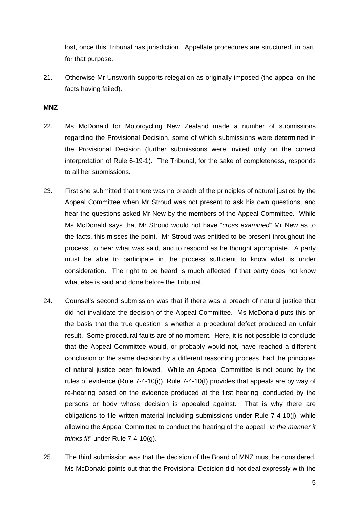lost, once this Tribunal has jurisdiction. Appellate procedures are structured, in part, for that purpose.

21. Otherwise Mr Unsworth supports relegation as originally imposed (the appeal on the facts having failed).

#### **MNZ**

- 22. Ms McDonald for Motorcycling New Zealand made a number of submissions regarding the Provisional Decision, some of which submissions were determined in the Provisional Decision (further submissions were invited only on the correct interpretation of Rule 6-19-1). The Tribunal, for the sake of completeness, responds to all her submissions.
- 23. First she submitted that there was no breach of the principles of natural justice by the Appeal Committee when Mr Stroud was not present to ask his own questions, and hear the questions asked Mr New by the members of the Appeal Committee. While Ms McDonald says that Mr Stroud would not have "*cross examined*" Mr New as to the facts, this misses the point. Mr Stroud was entitled to be present throughout the process, to hear what was said, and to respond as he thought appropriate. A party must be able to participate in the process sufficient to know what is under consideration. The right to be heard is much affected if that party does not know what else is said and done before the Tribunal.
- 24. Counsel's second submission was that if there was a breach of natural justice that did not invalidate the decision of the Appeal Committee. Ms McDonald puts this on the basis that the true question is whether a procedural defect produced an unfair result. Some procedural faults are of no moment. Here, it is not possible to conclude that the Appeal Committee would, or probably would not, have reached a different conclusion or the same decision by a different reasoning process, had the principles of natural justice been followed. While an Appeal Committee is not bound by the rules of evidence (Rule 7-4-10(i)), Rule 7-4-10(f) provides that appeals are by way of re-hearing based on the evidence produced at the first hearing, conducted by the persons or body whose decision is appealed against. That is why there are obligations to file written material including submissions under Rule 7-4-10(j), while allowing the Appeal Committee to conduct the hearing of the appeal "*in the manner it thinks fit*" under Rule 7-4-10(g).
- 25. The third submission was that the decision of the Board of MNZ must be considered. Ms McDonald points out that the Provisional Decision did not deal expressly with the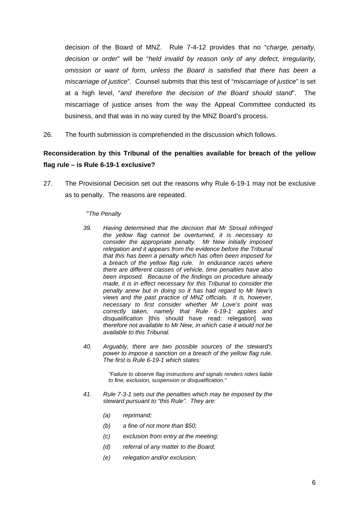decision of the Board of MNZ. Rule 7-4-12 provides that no "*charge, penalty, decision or order*" will be "*held invalid by reason only of any defect, irregularity, omission or want of form, unless the Board is satisfied that there has been a miscarriage of justice*". Counsel submits that this test of "*miscarriage of justice*" is set at a high level, "*and therefore the decision of the Board should stand*". The miscarriage of justice arises from the way the Appeal Committee conducted its business, and that was in no way cured by the MNZ Board's process.

26. The fourth submission is comprehended in the discussion which follows.

# **Reconsideration by this Tribunal of the penalties available for breach of the yellow flag rule – is Rule 6-19-1 exclusive?**

27. The Provisional Decision set out the reasons why Rule 6-19-1 may not be exclusive as to penalty. The reasons are repeated.

#### "*The Penalty*

- *39. Having determined that the decision that Mr Stroud infringed the yellow flag cannot be overturned, it is necessary to consider the appropriate penalty. Mr New initially imposed relegation and it appears from the evidence before the Tribunal that this has been a penalty which has often been imposed for a breach of the yellow flag rule. In endurance races where there are different classes of vehicle, time penalties have also been imposed. Because of the findings on procedure already made, it is in effect necessary for this Tribunal to consider the penalty anew but in doing so it has had regard to Mr New's views and the past practice of MNZ officials. It is, however, necessary to first consider whether Mr Love's point was correctly taken, namely that Rule 6-19-1 applies and disqualification* [this should have read: relegation] *was therefore not available to Mr New, in which case it would not be available to this Tribunal.*
- *40. Arguably, there are two possible sources of the steward's power to impose a sanction on a breach of the yellow flag rule. The first is Rule 6-19-1 which states:*

*"Failure to observe flag instructions and signals renders riders liable to fine, exclusion, suspension or disqualification."* 

- *41. Rule 7-3-1 sets out the penalties which may be imposed by the steward pursuant to "this Rule". They are:* 
	- *(a) reprimand;*
	- *(b) a fine of not more than \$50;*
	- *(c) exclusion from entry at the meeting;*
	- *(d) referral of any matter to the Board;*
	- *(e) relegation and/or exclusion;*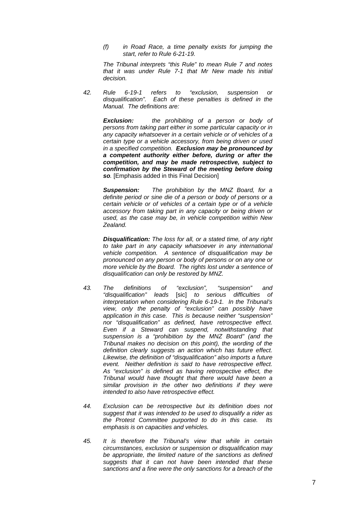*(f) in Road Race, a time penalty exists for jumping the start, refer to Rule 6-21-19.*

*The Tribunal interprets "this Rule" to mean Rule 7 and notes that it was under Rule 7-1 that Mr New made his initial decision.* 

*42. Rule 6-19-1 refers to "exclusion, suspension or disqualification". Each of these penalties is defined in the Manual. The definitions are:* 

*Exclusion: the prohibiting of a person or body of persons from taking part either in some particular capacity or in any capacity whatsoever in a certain vehicle or of vehicles of a certain type or a vehicle accessory, from being driven or used in a specified competition. Exclusion may be pronounced by a competent authority either before, during or after the competition, and may be made retrospective, subject to confirmation by the Steward of the meeting before doing so.* [Emphasis added in this Final Decision]

*Suspension: The prohibition by the MNZ Board, for a definite period or sine die of a person or body of persons or a certain vehicle or of vehicles of a certain type or of a vehicle accessory from taking part in any capacity or being driven or used, as the case may be, in vehicle competition within New Zealand.* 

*Disqualification: The loss for all, or a stated time, of any right to take part in any capacity whatsoever in any international vehicle competition. A sentence of disqualification may be pronounced on any person or body of persons or on any one or more vehicle by the Board. The rights lost under a sentence of disqualification can only be restored by MNZ.* 

- *43. The definitions of "exclusion", "suspension" and "disqualification" leads* [sic] *to serious difficulties of interpretation when considering Rule 6-19-1. In the Tribunal's view, only the penalty of "exclusion" can possibly have application in this case. This is because neither "suspension" nor "disqualification" as defined, have retrospective effect. Even if a Steward can suspend, notwithstanding that suspension is a "prohibition by the MNZ Board" (and the Tribunal makes no decision on this point), the wording of the definition clearly suggests an action which has future effect. Likewise, the definition of "disqualification" also imports a future event. Neither definition is said to have retrospective effect. As "exclusion" is defined as having retrospective effect, the Tribunal would have thought that there would have been a similar provision in the other two definitions if they were intended to also have retrospective effect.*
- *44. Exclusion can be retrospective but its definition does not suggest that it was intended to be used to disqualify a rider as the Protest Committee purported to do in this case. Its emphasis is on capacities and vehicles.*
- *45. It is therefore the Tribunal's view that while in certain circumstances, exclusion or suspension or disqualification may be appropriate, the limited nature of the sanctions as defined suggests that it can not have been intended that these sanctions and a fine were the only sanctions for a breach of the*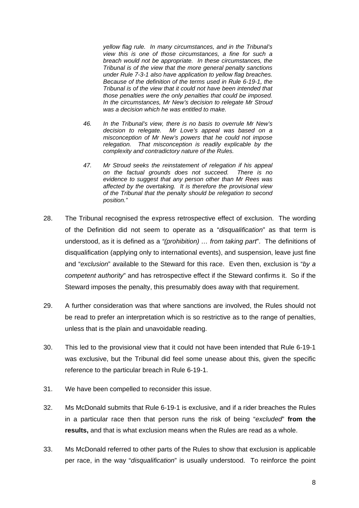*yellow flag rule. In many circumstances, and in the Tribunal's view this is one of those circumstances, a fine for such a breach would not be appropriate. In these circumstances, the Tribunal is of the view that the more general penalty sanctions under Rule 7-3-1 also have application to yellow flag breaches. Because of the definition of the terms used in Rule 6-19-1, the Tribunal is of the view that it could not have been intended that those penalties were the only penalties that could be imposed. In the circumstances, Mr New's decision to relegate Mr Stroud was a decision which he was entitled to make.* 

- *46. In the Tribunal's view, there is no basis to overrule Mr New's decision to relegate. Mr Love's appeal was based on a misconception of Mr New's powers that he could not impose relegation. That misconception is readily explicable by the complexity and contradictory nature of the Rules.*
- *47. Mr Stroud seeks the reinstatement of relegation if his appeal on the factual grounds does not succeed. There is no evidence to suggest that any person other than Mr Rees was affected by the overtaking. It is therefore the provisional view of the Tribunal that the penalty should be relegation to second position."*
- 28. The Tribunal recognised the express retrospective effect of exclusion. The wording of the Definition did not seem to operate as a "*disqualification*" as that term is understood, as it is defined as a *"(prohibition) … from taking part*". The definitions of disqualification (applying only to international events), and suspension, leave just fine and "*exclusion*" available to the Steward for this race. Even then, exclusion is "*by a competent authority*" and has retrospective effect if the Steward confirms it. So if the Steward imposes the penalty, this presumably does away with that requirement.
- 29. A further consideration was that where sanctions are involved, the Rules should not be read to prefer an interpretation which is so restrictive as to the range of penalties, unless that is the plain and unavoidable reading.
- 30. This led to the provisional view that it could not have been intended that Rule 6-19-1 was exclusive, but the Tribunal did feel some unease about this, given the specific reference to the particular breach in Rule 6-19-1.
- 31. We have been compelled to reconsider this issue.
- 32. Ms McDonald submits that Rule 6-19-1 is exclusive, and if a rider breaches the Rules in a particular race then that person runs the risk of being "*excluded*" **from the results,** and that is what exclusion means when the Rules are read as a whole.
- 33. Ms McDonald referred to other parts of the Rules to show that exclusion is applicable per race, in the way "*disqualification*" is usually understood. To reinforce the point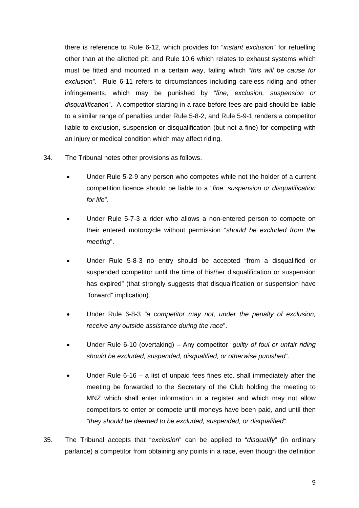there is reference to Rule 6-12, which provides for "*instant exclusion*" for refuelling other than at the allotted pit; and Rule 10.6 which relates to exhaust systems which must be fitted and mounted in a certain way, failing which "*this will be cause for exclusion*". Rule 6-11 refers to circumstances including careless riding and other infringements, which may be punished by "*fine, exclusion, suspension or disqualification*". A competitor starting in a race before fees are paid should be liable to a similar range of penalties under Rule 5-8-2, and Rule 5-9-1 renders a competitor liable to exclusion, suspension or disqualification (but not a fine) for competing with an injury or medical condition which may affect riding.

- 34. The Tribunal notes other provisions as follows.
	- Under Rule 5-2-9 any person who competes while not the holder of a current competition licence should be liable to a "*fine, suspension or disqualification for life*".
	- Under Rule 5-7-3 a rider who allows a non-entered person to compete on their entered motorcycle without permission "*should be excluded from the meeting*".
	- Under Rule 5-8-3 no entry should be accepted "from a disqualified or suspended competitor until the time of his/her disqualification or suspension has expired" (that strongly suggests that disqualification or suspension have "forward" implication).
	- Under Rule 6-8-3 *"a competitor may not, under the penalty of exclusion, receive any outside assistance during the race*".
	- Under Rule 6-10 (overtaking) Any competitor "*guilty of foul or unfair riding should be excluded, suspended, disqualified, or otherwise punished*".
	- Under Rule  $6-16 a$  list of unpaid fees fines etc. shall immediately after the meeting be forwarded to the Secretary of the Club holding the meeting to MNZ which shall enter information in a register and which may not allow competitors to enter or compete until moneys have been paid, and until then *"they should be deemed to be excluded, suspended, or disqualified"*.
- 35. The Tribunal accepts that "*exclusion*" can be applied to "*disqualify*" (in ordinary parlance) a competitor from obtaining any points in a race, even though the definition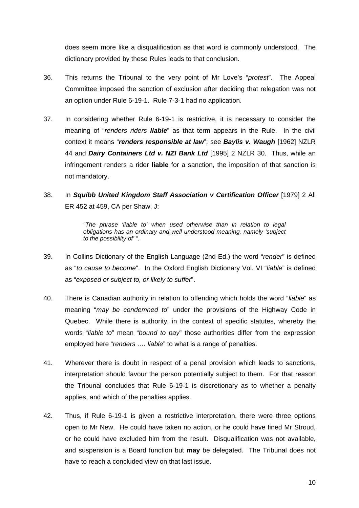does seem more like a disqualification as that word is commonly understood. The dictionary provided by these Rules leads to that conclusion.

- 36. This returns the Tribunal to the very point of Mr Love's "*protest*". The Appeal Committee imposed the sanction of exclusion after deciding that relegation was not an option under Rule 6-19-1. Rule 7-3-1 had no application.
- 37. In considering whether Rule 6-19-1 is restrictive, it is necessary to consider the meaning of "*renders riders liable*" as that term appears in the Rule. In the civil context it means "*renders responsible at law*"; see *Baylis v. Waugh* [1962] NZLR 44 and *Dairy Containers Ltd v. NZI Bank Ltd* [1995] 2 NZLR 30. Thus, while an infringement renders a rider **liable** for a sanction, the imposition of that sanction is not mandatory.
- 38. In *Squibb United Kingdom Staff Association v Certification Officer* [1979] 2 All ER 452 at 459, CA per Shaw, J:

*"The phrase 'liable to' when used otherwise than in relation to legal obligations has an ordinary and well understood meaning, namely 'subject to the possibility of' ".* 

- 39. In Collins Dictionary of the English Language (2nd Ed.) the word "*render*" is defined as "*to cause to become*". In the Oxford English Dictionary Vol. VI "*liable*" is defined as "*exposed or subject to, or likely to suffer*".
- 40. There is Canadian authority in relation to offending which holds the word "*liable*" as meaning "*may be condemned to*" under the provisions of the Highway Code in Quebec. While there is authority, in the context of specific statutes, whereby the words "*liable to*" mean "*bound to pay*" those authorities differ from the expression employed here "*renders …. liable*" to what is a range of penalties.
- 41. Wherever there is doubt in respect of a penal provision which leads to sanctions, interpretation should favour the person potentially subject to them. For that reason the Tribunal concludes that Rule 6-19-1 is discretionary as to whether a penalty applies, and which of the penalties applies.
- 42. Thus, if Rule 6-19-1 is given a restrictive interpretation, there were three options open to Mr New. He could have taken no action, or he could have fined Mr Stroud, or he could have excluded him from the result. Disqualification was not available, and suspension is a Board function but **may** be delegated. The Tribunal does not have to reach a concluded view on that last issue.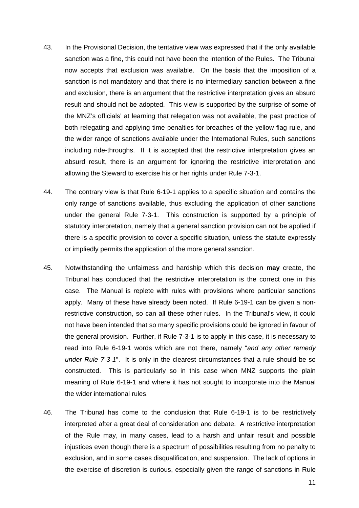- 43. In the Provisional Decision, the tentative view was expressed that if the only available sanction was a fine, this could not have been the intention of the Rules. The Tribunal now accepts that exclusion was available. On the basis that the imposition of a sanction is not mandatory and that there is no intermediary sanction between a fine and exclusion, there is an argument that the restrictive interpretation gives an absurd result and should not be adopted. This view is supported by the surprise of some of the MNZ's officials' at learning that relegation was not available, the past practice of both relegating and applying time penalties for breaches of the yellow flag rule, and the wider range of sanctions available under the International Rules, such sanctions including ride-throughs. If it is accepted that the restrictive interpretation gives an absurd result, there is an argument for ignoring the restrictive interpretation and allowing the Steward to exercise his or her rights under Rule 7-3-1.
- 44. The contrary view is that Rule 6-19-1 applies to a specific situation and contains the only range of sanctions available, thus excluding the application of other sanctions under the general Rule 7-3-1. This construction is supported by a principle of statutory interpretation, namely that a general sanction provision can not be applied if there is a specific provision to cover a specific situation, unless the statute expressly or impliedly permits the application of the more general sanction.
- 45. Notwithstanding the unfairness and hardship which this decision **may** create, the Tribunal has concluded that the restrictive interpretation is the correct one in this case. The Manual is replete with rules with provisions where particular sanctions apply. Many of these have already been noted. If Rule 6-19-1 can be given a nonrestrictive construction, so can all these other rules. In the Tribunal's view, it could not have been intended that so many specific provisions could be ignored in favour of the general provision. Further, if Rule 7-3-1 is to apply in this case, it is necessary to read into Rule 6-19-1 words which are not there, namely "*and any other remedy under Rule 7-3-1*". It is only in the clearest circumstances that a rule should be so constructed. This is particularly so in this case when MNZ supports the plain meaning of Rule 6-19-1 and where it has not sought to incorporate into the Manual the wider international rules.
- 46. The Tribunal has come to the conclusion that Rule 6-19-1 is to be restrictively interpreted after a great deal of consideration and debate. A restrictive interpretation of the Rule may, in many cases, lead to a harsh and unfair result and possible injustices even though there is a spectrum of possibilities resulting from no penalty to exclusion, and in some cases disqualification, and suspension. The lack of options in the exercise of discretion is curious, especially given the range of sanctions in Rule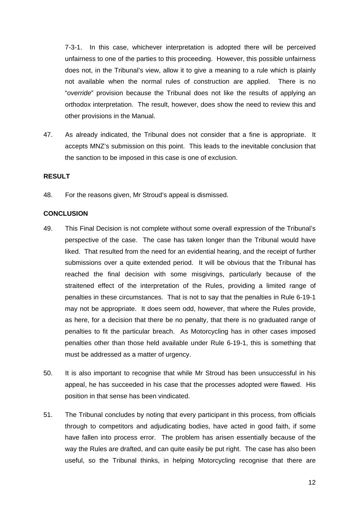7-3-1. In this case, whichever interpretation is adopted there will be perceived unfairness to one of the parties to this proceeding. However, this possible unfairness does not, in the Tribunal's view, allow it to give a meaning to a rule which is plainly not available when the normal rules of construction are applied. There is no "*override*" provision because the Tribunal does not like the results of applying an orthodox interpretation. The result, however, does show the need to review this and other provisions in the Manual.

47. As already indicated, the Tribunal does not consider that a fine is appropriate. It accepts MNZ's submission on this point. This leads to the inevitable conclusion that the sanction to be imposed in this case is one of exclusion.

#### **RESULT**

48. For the reasons given, Mr Stroud's appeal is dismissed.

#### **CONCLUSION**

- 49. This Final Decision is not complete without some overall expression of the Tribunal's perspective of the case. The case has taken longer than the Tribunal would have liked. That resulted from the need for an evidential hearing, and the receipt of further submissions over a quite extended period. It will be obvious that the Tribunal has reached the final decision with some misgivings, particularly because of the straitened effect of the interpretation of the Rules, providing a limited range of penalties in these circumstances. That is not to say that the penalties in Rule 6-19-1 may not be appropriate. It does seem odd, however, that where the Rules provide, as here, for a decision that there be no penalty, that there is no graduated range of penalties to fit the particular breach. As Motorcycling has in other cases imposed penalties other than those held available under Rule 6-19-1, this is something that must be addressed as a matter of urgency.
- 50. It is also important to recognise that while Mr Stroud has been unsuccessful in his appeal, he has succeeded in his case that the processes adopted were flawed. His position in that sense has been vindicated.
- 51. The Tribunal concludes by noting that every participant in this process, from officials through to competitors and adjudicating bodies, have acted in good faith, if some have fallen into process error. The problem has arisen essentially because of the way the Rules are drafted, and can quite easily be put right. The case has also been useful, so the Tribunal thinks, in helping Motorcycling recognise that there are